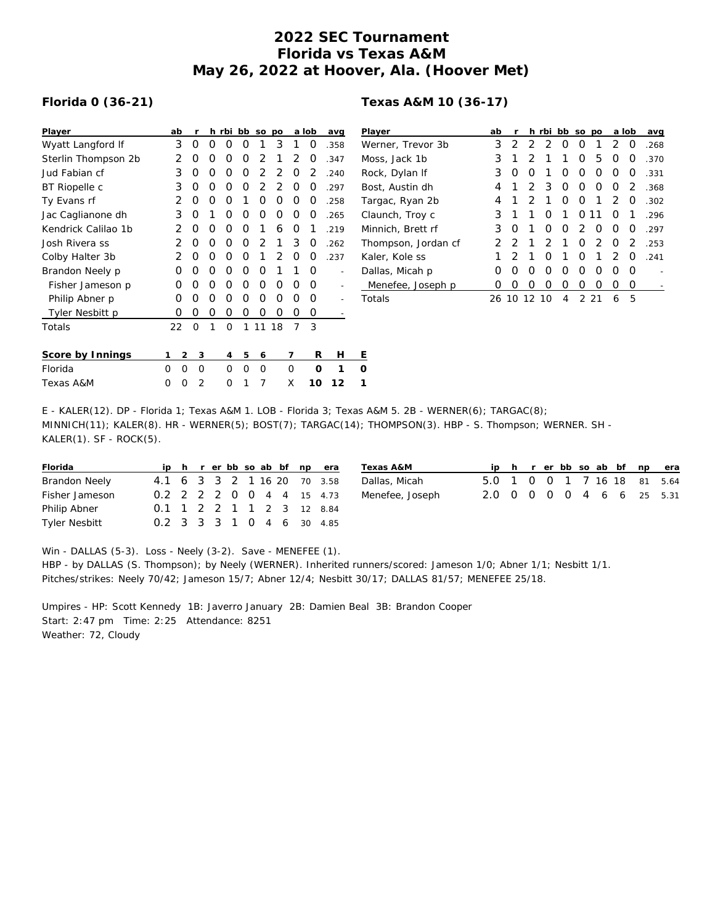## **2022 SEC Tournament Florida vs Texas A&M May 26, 2022 at Hoover, Ala. (Hoover Met)**

## **Florida 0 (36-21)**

| Player              | ab |                | r        |   | h rbi | bb       | SO             | po             |          | a lob | avg  | P |
|---------------------|----|----------------|----------|---|-------|----------|----------------|----------------|----------|-------|------|---|
| Wyatt Langford If   | 3  |                | Ο        | Ω | Ω     | Ο        | 1              | 3              | 1        | 0     | .358 | W |
| Sterlin Thompson 2b | 2  |                | Ο        | Ο | Ο     | O        | 2              | 1              | 2        | 0     | .347 | M |
| Jud Fabian cf       | 3  |                | Ο        | Ω | Ο     | O        | 2              | 2              | $\Omega$ | 2     | .240 | R |
| BT Riopelle c       | 3  |                | Ο        | Ω | O     | O        | $\overline{2}$ | $\overline{2}$ | $\Omega$ | O     | .297 | B |
| Ty Evans rf         | 2  |                | Ο        | Ο | O     | 1        | O              | 0              | 0        | 0     | .258 | Τ |
| Jac Caglianone dh   | 3  |                | 0        | 1 | O     | O        | Ο              | O              | O        | 0     | .265 | С |
| Kendrick Calilao 1b | 2  |                | 0        | Ω | O     | O        | 1              | 6              | $\Omega$ | 1     | .219 | M |
| Josh Rivera ss      | 2  |                | Ο        | Ω | O     | O        | 2              | 1              | 3        | 0     | .262 | Τ |
| Colby Halter 3b     | 2  |                | O        | Ω | O     | $\Omega$ | 1              | 2              | O        | O     | .237 | К |
| Brandon Neely p     | Ο  |                | O        | O | O     | O        | O              | 1              | 1        | Ο     |      | D |
| Fisher Jameson p    | Ο  |                | Ο        | Ο | Ο     | O        | Ο              | O              | O        | Ο     |      |   |
| Philip Abner p      | Ο  |                | O        | Ο | Ω     | O        | Ο              | Ο              | O        | O     |      | Τ |
| Tyler Nesbitt p     | Ο  |                | Ο        | 0 | 0     | Ο        | 0              | 0              | Ο        | 0     |      |   |
| Totals              | 22 |                | $\Omega$ | 1 | 0     | 1        | 11             | 18             | 7        | 3     |      |   |
| Score by Innings    | 1  | $\mathfrak{D}$ | 3        |   | 4     | 5        | 6              |                | 7        | R     | Н    | Ε |
| Florida             | Ω  | O              | O        |   | Ω     | $\Omega$ | 0              |                | O        | O     | 1    | O |
| Texas A&M           | 0  | O              | 2        |   | Ω     | 1        | 7              |                | X        | 10    | 12   | 1 |

| Player              | ab               | r                |                  |                  | h rbi bb so po |               |               |               | a lob    | avg  |
|---------------------|------------------|------------------|------------------|------------------|----------------|---------------|---------------|---------------|----------|------|
| Werner, Trevor 3b   | 3                | $\mathcal{P}$    | $\mathcal{P}$    | 2                | O              | O             | 1             | 2             | $\Omega$ | .268 |
| Moss, Jack 1b       | 3                | 1                | $\mathcal{P}$    | 1                | 1              | O             | 5             | O             | O        | .370 |
| Rock, Dylan If      | 3                | O                | Ω                | 1                | Ω              | O             | O             | O             | O        | .331 |
| Bost, Austin dh     | 4                | 1                | 2                | 3                | O              | O             | O             | O             | 2        | .368 |
| Targac, Ryan 2b     | 4                | 1                | 2                | 1                | O              | O             | 1             | 2             | O        | .302 |
| Claunch, Troy c     | 3                | 1                | 1                | O                | 1              | O             | 11            | 0             | 1        | .296 |
| Minnich, Brett rf   | 3                | O                | 1                | O                | ∩              | $\mathcal{D}$ | O             | ∩             | O        | -297 |
| Thompson, Jordan cf | 2                | 2                | 1                | 2                | 1              | Ω             | $\mathcal{D}$ | O             | 2        | .253 |
| Kaler, Kole ss      | 1                | $\mathcal{P}$    | 1                | O                | 1              | ∩             | 1             | $\mathcal{P}$ | O        | 241  |
| Dallas, Micah p     | Ω                | O                | $\left( \right)$ | O                | O              | O             | O             | O             | O        |      |
| Menefee, Joseph p   | $\left( \right)$ | $\left( \right)$ | 0                | $\left( \right)$ | Ω              | Ω             | Ω             | Ω             | O        |      |
| Totals              |                  | 26.10            |                  | $\Omega$         | 4              | 2             | つ             | 6             | 5        |      |

E - KALER(12). DP - Florida 1; Texas A&M 1. LOB - Florida 3; Texas A&M 5. 2B - WERNER(6); TARGAC(8); MINNICH(11); KALER(8). HR - WERNER(5); BOST(7); TARGAC(14); THOMPSON(3). HBP - S. Thompson; WERNER. SH -  $KALER(1)$ . SF -  $ROCK(5)$ .

| Florida              |                             |  |  |  | ip h r er bb so ab bf np era |  |
|----------------------|-----------------------------|--|--|--|------------------------------|--|
| <b>Brandon Neely</b> | 4.1 6 3 3 2 1 16 20 70 3.58 |  |  |  |                              |  |
| Fisher Jameson       | 0.2 2 2 2 0 0 4 4 15 4.73   |  |  |  |                              |  |
| Philip Abner         | 0.1 1 2 2 1 1 2 3 12 8.84   |  |  |  |                              |  |
| <b>Tyler Nesbitt</b> | 0.2 3 3 3 1 0 4 6 30 4.85   |  |  |  |                              |  |

| Texas A&M       |  |  |  |  | ip h r er bb so ab bf np era |
|-----------------|--|--|--|--|------------------------------|
| Dallas, Micah   |  |  |  |  | 5.0 1 0 0 1 7 16 18 81 5.64  |
| Menefee, Joseph |  |  |  |  | 2.0 0 0 0 0 4 6 6 25 5.31    |

Win - DALLAS (5-3). Loss - Neely (3-2). Save - MENEFEE (1). HBP - by DALLAS (S. Thompson); by Neely (WERNER). Inherited runners/scored: Jameson 1/0; Abner 1/1; Nesbitt 1/1. Pitches/strikes: Neely 70/42; Jameson 15/7; Abner 12/4; Nesbitt 30/17; DALLAS 81/57; MENEFEE 25/18.

Umpires - HP: Scott Kennedy 1B: Javerro January 2B: Damien Beal 3B: Brandon Cooper Start: 2:47 pm Time: 2:25 Attendance: 8251 Weather: 72, Cloudy

## **Texas A&M 10 (36-17)**